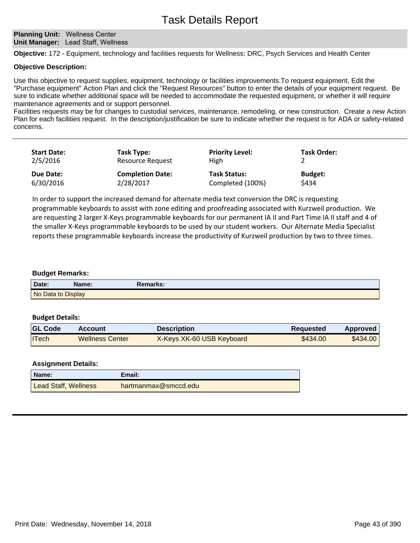#### **Planning Unit: Wellness Center Unit Manager:** Lead Staff, Wellness

**Objective:** 172 - Equipment, technology and facilities requests for Wellness: DRC, Psych Services and Health Center

#### **Objective Description:**

Use this objective to request supplies, equipment, technology or facilities improvements.To request equipment, Edit the "Purchase equipment" Action Plan and click the "Request Resources" button to enter the details of your equipment request. Be sure to indicate whether additional space will be needed to accommodate the requested equipment, or whether it will require maintenance agreements and or support personnel.

Facilities requests may be for changes to custodial services, maintenance, remodeling, or new construction. Create a new Action Plan for each facilities request. In the description/justification be sure to indicate whether the request is for ADA or safety-related concerns.

| <b>Start Date:</b> | Task Type:              | <b>Priority Level:</b> | <b>Task Order:</b> |
|--------------------|-------------------------|------------------------|--------------------|
| 2/5/2016           | <b>Resource Request</b> | <b>High</b>            |                    |
| Due Date:          | <b>Completion Date:</b> | <b>Task Status:</b>    | <b>Budget:</b>     |
| 6/30/2016          | 2/28/2017               | Completed (100%)       | \$434              |

In order to support the increased demand for alternate media text conversion the DRC is requesting programmable keyboards to assist with zone editing and proofreading associated with Kurzweil production. We are requesting 2 larger X-Keys programmable keyboards for our permanent IA II and Part Time IA II staff and 4 of the smaller X-Keys programmable keyboards to be used by our student workers. Our Alternate Media Specialist reports these programmable keyboards increase the productivity of Kurzweil production by two to three times.

#### **Budget Remarks:**

| Date:              | Name: | <b>Remarks:</b> |
|--------------------|-------|-----------------|
| No Data to Display |       |                 |

#### **Budget Details:**

| <b>GL Code</b> | Account                | <b>Description</b>        | Requested | Approved |
|----------------|------------------------|---------------------------|-----------|----------|
| <b>ITech</b>   | <b>Wellness Center</b> | X-Keys XK-60 USB Keyboard | \$434.00  | \$434.00 |

| Name:                       | Email:               |
|-----------------------------|----------------------|
| <b>Lead Staff, Wellness</b> | hartmanmax@smccd.edu |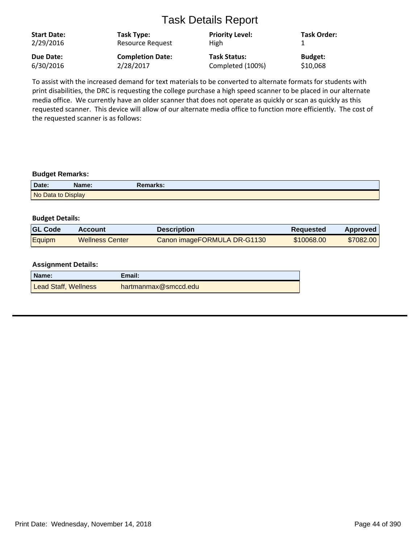| <b>Start Date:</b><br>2/29/2016 | Task Type:<br><b>Resource Request</b> | <b>Priority Level:</b><br>High | <b>Task Order:</b> |
|---------------------------------|---------------------------------------|--------------------------------|--------------------|
| Due Date:                       | <b>Completion Date:</b>               | <b>Task Status:</b>            | <b>Budget:</b>     |
| 6/30/2016                       | 2/28/2017                             | Completed (100%)               | \$10,068           |

To assist with the increased demand for text materials to be converted to alternate formats for students with print disabilities, the DRC is requesting the college purchase a high speed scanner to be placed in our alternate media office. We currently have an older scanner that does not operate as quickly or scan as quickly as this requested scanner. This device will allow of our alternate media office to function more efficiently. The cost of the requested scanner is as follows:

#### **Budget Remarks:**

| Date:              | Name: | Remarks: |  |
|--------------------|-------|----------|--|
| No Data to Display |       |          |  |

#### **Budget Details:**

| <b>GL Code</b> | Account          | <b>Description</b>          | <b>Requested</b> | <b>Approved</b> |
|----------------|------------------|-----------------------------|------------------|-----------------|
| Equipm         | ⊺Wellness Center | Canon imageFORMULA DR-G1130 | \$10068.00       | \$7082.00       |

| Name:                       | Email:               |
|-----------------------------|----------------------|
| <b>Lead Staff, Wellness</b> | hartmanmax@smccd.edu |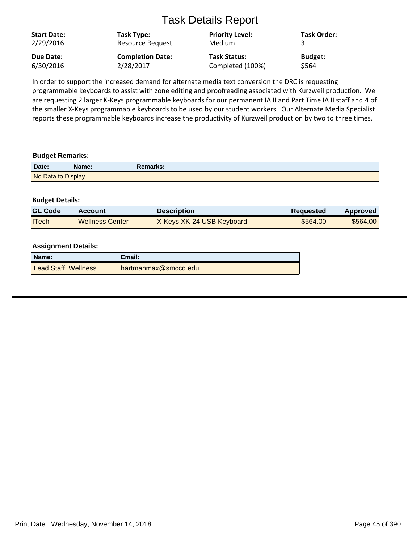| <b>Start Date:</b><br>2/29/2016 | Task Type:<br><b>Resource Request</b> | <b>Priority Level:</b><br>Medium | <b>Task Order:</b> |
|---------------------------------|---------------------------------------|----------------------------------|--------------------|
| Due Date:                       | <b>Completion Date:</b>               | <b>Task Status:</b>              | <b>Budget:</b>     |
| 6/30/2016                       | 2/28/2017                             | Completed (100%)                 | \$564              |

In order to support the increased demand for alternate media text conversion the DRC is requesting programmable keyboards to assist with zone editing and proofreading associated with Kurzweil production. We are requesting 2 larger K-Keys programmable keyboards for our permanent IA II and Part Time IA II staff and 4 of the smaller X-Keys programmable keyboards to be used by our student workers. Our Alternate Media Specialist reports these programmable keyboards increase the productivity of Kurzweil production by two to three times.

## **Budget Remarks:**

| Date:              | Name: | रेemarks: |
|--------------------|-------|-----------|
| No Data to Display |       |           |

## **Budget Details:**

| <b>GL Code</b> | Account                | Description               | <b>Requested</b> | Approved |
|----------------|------------------------|---------------------------|------------------|----------|
| <b>ITech</b>   | <b>Wellness Center</b> | X-Keys XK-24 USB Keyboard | \$564.00         | \$564.00 |

| Name:                       | Email:               |
|-----------------------------|----------------------|
| <b>Lead Staff, Wellness</b> | hartmanmax@smccd.edu |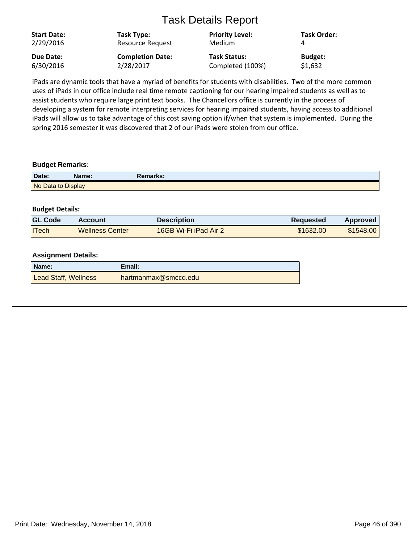| <b>Start Date:</b><br>2/29/2016 | Task Type:<br>Resource Request | <b>Priority Level:</b><br><b>Medium</b> | <b>Task Order:</b> |
|---------------------------------|--------------------------------|-----------------------------------------|--------------------|
| Due Date:                       | <b>Completion Date:</b>        | <b>Task Status:</b>                     | <b>Budget:</b>     |
| 6/30/2016                       | 2/28/2017                      | Completed (100%)                        | \$1,632            |

iPads are dynamic tools that have a myriad of benefits for students with disabilities. Two of the more common uses of iPads in our office include real time remote captioning for our hearing impaired students as well as to assist students who require large print text books. The Chancellors office is currently in the process of developing a system for remote interpreting services for hearing impaired students, having access to additional iPads will allow us to take advantage of this cost saving option if/when that system is implemented. During the spring 2016 semester it was discovered that 2 of our iPads were stolen from our office.

#### **Budget Remarks:**

| Date:              | Name: | Remarks: |  |
|--------------------|-------|----------|--|
| No Data to Display |       |          |  |

## **Budget Details:**

| <b>GL Code</b> | Account                | <b>Description</b>    | <b>Requested</b> | Approved  |
|----------------|------------------------|-----------------------|------------------|-----------|
| <b>ITech</b>   | <b>Wellness Center</b> | 16GB Wi-Fi iPad Air 2 | \$1632.00        | \$1548.00 |

| ∣ Name:              | Email:               |
|----------------------|----------------------|
| Lead Staff, Wellness | hartmanmax@smccd.edu |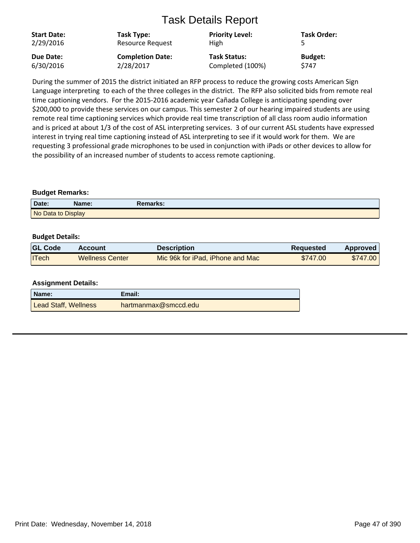| <b>Start Date:</b><br>2/29/2016 | Task Type:<br>Resource Request | <b>Priority Level:</b><br><b>High</b> | <b>Task Order:</b> |
|---------------------------------|--------------------------------|---------------------------------------|--------------------|
| Due Date:                       | <b>Completion Date:</b>        | <b>Task Status:</b>                   | <b>Budget:</b>     |
| 6/30/2016                       | 2/28/2017                      | Completed (100%)                      | S747               |

During the summer of 2015 the district initiated an RFP process to reduce the growing costs American Sign Language interpreting to each of the three colleges in the district. The RFP also solicited bids from remote real time captioning vendors. For the 2015-2016 academic year Cañada College is anticipating spending over \$200,000 to provide these services on our campus. This semester 2 of our hearing impaired students are using remote real time captioning services which provide real time transcription of all class room audio information and is priced at about 1/3 of the cost of ASL interpreting services. 3 of our current ASL students have expressed interest in trying real time captioning instead of ASL interpreting to see if it would work for them. We are requesting 3 professional grade microphones to be used in conjunction with iPads or other devices to allow for the possibility of an increased number of students to access remote captioning.

#### **Budget Remarks:**

| Date:              | Name: | Remarks: |  |
|--------------------|-------|----------|--|
| No Data to Display |       |          |  |

#### **Budget Details:**

| <b>GL Code</b> | Account                | Description                      | <b>Requested</b> | Approved |
|----------------|------------------------|----------------------------------|------------------|----------|
| <b>ITech</b>   | <b>Wellness Center</b> | Mic 96k for iPad, iPhone and Mac | \$747.00         | \$747.00 |

| Name:                | Email:               |
|----------------------|----------------------|
| Lead Staff, Wellness | hartmanmax@smccd.edu |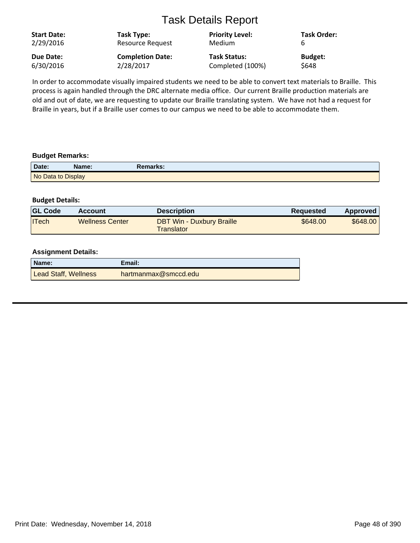| <b>Start Date:</b> | Task Type:              | <b>Priority Level:</b> | <b>Task Order:</b> |
|--------------------|-------------------------|------------------------|--------------------|
| 2/29/2016          | Resource Request        | Medium                 | b                  |
| Due Date:          | <b>Completion Date:</b> | <b>Task Status:</b>    | <b>Budget:</b>     |
| 6/30/2016          | 2/28/2017               | Completed (100%)       | <b>S648</b>        |

In order to accommodate visually impaired students we need to be able to convert text materials to Braille. This process is again handled through the DRC alternate media office. Our current Braille production materials are old and out of date, we are requesting to update our Braille translating system. We have not had a request for Braille in years, but if a Braille user comes to our campus we need to be able to accommodate them.

#### **Budget Remarks:**

| Date:              | Name: | Remarks: |
|--------------------|-------|----------|
| No Data to Display |       |          |

#### **Budget Details:**

| <b>GL Code</b> | Account                | <b>Description</b>                             | Requested | Approved |
|----------------|------------------------|------------------------------------------------|-----------|----------|
| <b>ITech</b>   | <b>Wellness Center</b> | <b>DBT Win - Duxbury Braille</b><br>Translator | \$648.00  | \$648.00 |

| Name:                | Email:               |
|----------------------|----------------------|
| Lead Staff, Wellness | hartmanmax@smccd.edu |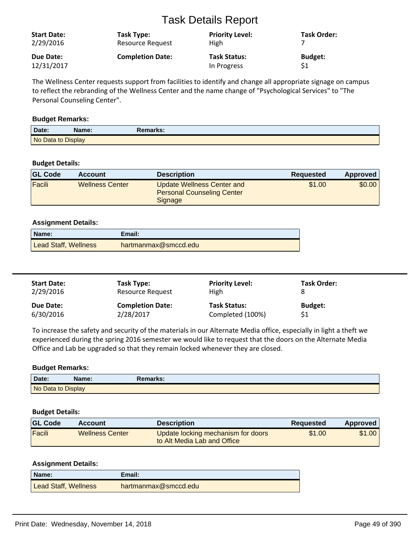| <b>Start Date:</b> | Task Type:              | <b>Priority Level:</b> | <b>Task Order:</b> |
|--------------------|-------------------------|------------------------|--------------------|
| 2/29/2016          | <b>Resource Request</b> | <b>High</b>            |                    |
| Due Date:          | <b>Completion Date:</b> | <b>Task Status:</b>    | <b>Budget:</b>     |
| 12/31/2017         |                         | In Progress            | \$1                |

The Wellness Center requests support from facilities to identify and change all appropriate signage on campus to reflect the rebranding of the Wellness Center and the name change of "Psychological Services" to "The Personal Counseling Center".

#### **Budget Remarks:**

| Date:              | Name: | Remarks: |  |
|--------------------|-------|----------|--|
| No Data to Display |       |          |  |

## **Budget Details:**

| <b>GL Code</b> | <b>Account</b>         | <b>Description</b>                                                         | <b>Requested</b> | Approved |
|----------------|------------------------|----------------------------------------------------------------------------|------------------|----------|
| Facili         | <b>Wellness Center</b> | Update Wellness Center and<br><b>Personal Counseling Center</b><br>Signage | \$1.00           | \$0.00   |

## **Assignment Details:**

| Name:                | Email:               |
|----------------------|----------------------|
| Lead Staff, Wellness | hartmanmax@smccd.edu |

| <b>Start Date:</b><br>2/29/2016 | Task Type:<br>Resource Request       | <b>Priority Level:</b><br>High          | <b>Task Order:</b> |  |
|---------------------------------|--------------------------------------|-----------------------------------------|--------------------|--|
| Due Date:<br>6/30/2016          | <b>Completion Date:</b><br>2/28/2017 | <b>Task Status:</b><br>Completed (100%) | <b>Budget:</b>     |  |

To increase the safety and security of the materials in our Alternate Media office, especially in light a theft we experienced during the spring 2016 semester we would like to request that the doors on the Alternate Media Office and Lab be upgraded so that they remain locked whenever they are closed.

## **Budget Remarks:**

| Date:              | Name: | Remarks: |  |
|--------------------|-------|----------|--|
| No Data to Display |       |          |  |

#### **Budget Details:**

| <b>GL Code</b> | <b>Account</b>         | <b>Description</b>                                                | <b>Requested</b> | Approved |
|----------------|------------------------|-------------------------------------------------------------------|------------------|----------|
| Facili         | <b>Wellness Center</b> | Update locking mechanism for doors<br>to Alt Media Lab and Office | \$1.00           | \$1.00   |

| Name:                       | Email:               |
|-----------------------------|----------------------|
| <b>Lead Staff, Wellness</b> | hartmanmax@smccd.edu |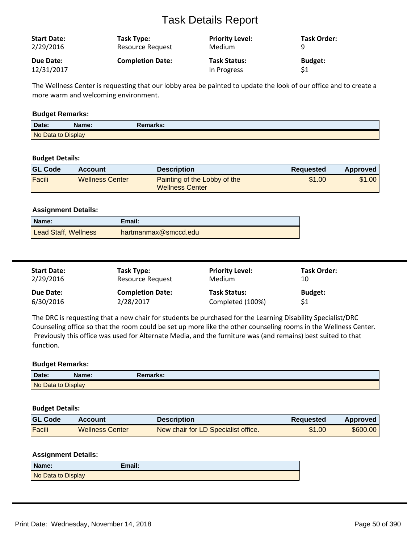| <b>Start Date:</b> | Task Type:              | <b>Priority Level:</b> | Task Order:    |
|--------------------|-------------------------|------------------------|----------------|
| 2/29/2016          | Resource Request        | Medium                 | Q              |
| Due Date:          | <b>Completion Date:</b> | <b>Task Status:</b>    | <b>Budget:</b> |
| 12/31/2017         |                         | In Progress            | \$1            |

The Wellness Center is requesting that our lobby area be painted to update the look of our office and to create a more warm and welcoming environment.

#### **Budget Remarks:**

| Date: | Name:              | Remarks: |
|-------|--------------------|----------|
|       | No Data to Display |          |

## **Budget Details:**

| <b>GL Code</b> | Account                | <b>Description</b>                                     | Reguested | Approved |
|----------------|------------------------|--------------------------------------------------------|-----------|----------|
| Facili         | <b>Wellness Center</b> | Painting of the Lobby of the<br><b>Wellness Center</b> | \$1.00    | \$1.00   |

#### **Assignment Details:**

| Name:                | Email:               |
|----------------------|----------------------|
| Lead Staff, Wellness | hartmanmax@smccd.edu |

| <b>Start Date:</b> | Task Type:              | <b>Priority Level:</b> | Task Order:    |
|--------------------|-------------------------|------------------------|----------------|
| 2/29/2016          | Resource Request        | Medium                 | 10             |
| Due Date:          | <b>Completion Date:</b> | <b>Task Status:</b>    | <b>Budget:</b> |
| 6/30/2016          | 2/28/2017               | Completed (100%)       |                |

The DRC is requesting that a new chair for students be purchased for the Learning Disability Specialist/DRC Counseling office so that the room could be set up more like the other counseling rooms in the Wellness Center. Previously this office was used for Alternate Media, and the furniture was (and remains) best suited to that function.

#### **Budget Remarks:**

| Date:              | Name: | <b>Remarks:</b> |  |
|--------------------|-------|-----------------|--|
| No Data to Display |       |                 |  |

## **Budget Details:**

| <b>GL Code</b> | Account                | Description                         | Requested | Approved |
|----------------|------------------------|-------------------------------------|-----------|----------|
| Facili         | <b>Wellness Center</b> | New chair for LD Specialist office. | \$1.00    | \$600,00 |

| Name:              | Email: |
|--------------------|--------|
| No Data to Display |        |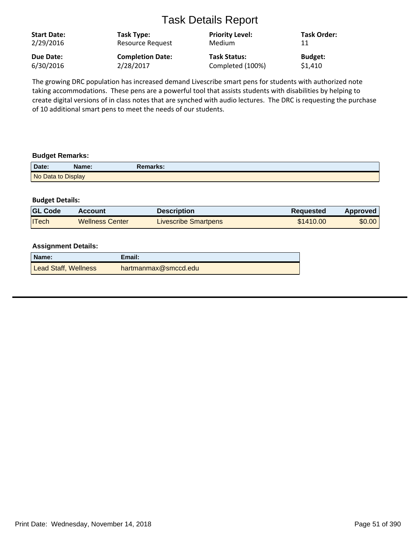| <b>Start Date:</b><br>2/29/2016 | Task Type:<br>Resource Request | <b>Priority Level:</b><br>Medium | <b>Task Order:</b><br>11 |
|---------------------------------|--------------------------------|----------------------------------|--------------------------|
| Due Date:                       | <b>Completion Date:</b>        | <b>Task Status:</b>              | <b>Budget:</b>           |
| 6/30/2016                       | 2/28/2017                      | Completed (100%)                 | \$1,410                  |

The growing DRC population has increased demand Livescribe smart pens for students with authorized note taking accommodations. These pens are a powerful tool that assists students with disabilities by helping to create digital versions of in class notes that are synched with audio lectures. The DRC is requesting the purchase of 10 additional smart pens to meet the needs of our students.

#### **Budget Remarks:**

| Date:              | Name: | Remarks: |
|--------------------|-------|----------|
| No Data to Display |       |          |

#### **Budget Details:**

| <b>GL Code</b> | <b>Account</b>         | <b>Description</b>          | Requested | Approved |
|----------------|------------------------|-----------------------------|-----------|----------|
| <b>ITech</b>   | <b>Wellness Center</b> | <b>Livescribe Smartpens</b> | \$1410.00 | \$0.00   |

| Name:                | Email:               |
|----------------------|----------------------|
| Lead Staff, Wellness | hartmanmax@smccd.edu |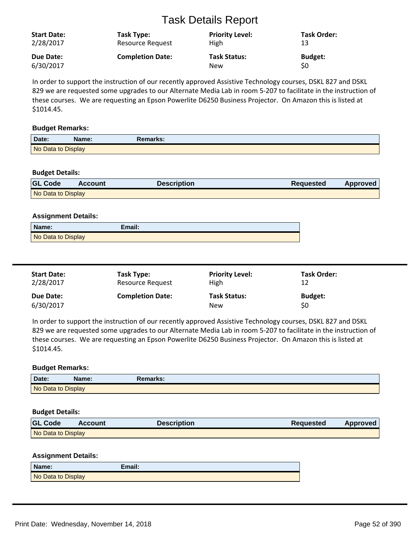| <b>Start Date:</b> | Task Type:              | <b>Priority Level:</b> | Task Order:    |
|--------------------|-------------------------|------------------------|----------------|
| 2/28/2017          | Resource Request        | <b>High</b>            | 13             |
| Due Date:          | <b>Completion Date:</b> | <b>Task Status:</b>    | <b>Budget:</b> |
| 6/30/2017          |                         | <b>New</b>             | \$0            |

In order to support the instruction of our recently approved Assistive Technology courses, DSKL 827 and DSKL 829 we are requested some upgrades to our Alternate Media Lab in room 5-207 to facilitate in the instruction of these courses. We are requesting an Epson Powerlite D6250 Business Projector. On Amazon this is listed at \$1014.45.

#### **Budget Remarks:**

| Date:              | Name: | Remarks: |  |
|--------------------|-------|----------|--|
| No Data to Display |       |          |  |

#### **Budget Details:**

| <b>GL Code</b>     | <b>Account</b> | Description | <b>Requested</b> | <b>Approved</b> |
|--------------------|----------------|-------------|------------------|-----------------|
| No Data to Display |                |             |                  |                 |

#### **Assignment Details:**

| Name:              | Email: |  |
|--------------------|--------|--|
| No Data to Display |        |  |

| <b>Start Date:</b> | Task Type:              | <b>Priority Level:</b> | <b>Task Order:</b> |
|--------------------|-------------------------|------------------------|--------------------|
| 2/28/2017          | Resource Request        | High                   | 12                 |
| Due Date:          | <b>Completion Date:</b> | <b>Task Status:</b>    | <b>Budget:</b>     |
| 6/30/2017          |                         | New                    | \$0                |

In order to support the instruction of our recently approved Assistive Technology courses, DSKL 827 and DSKL 829 we are requested some upgrades to our Alternate Media Lab in room 5-207 to facilitate in the instruction of these courses. We are requesting an Epson Powerlite D6250 Business Projector. On Amazon this is listed at \$1014.45.

## **Budget Remarks:**

| Date.              | Name: | Remarks: |  |
|--------------------|-------|----------|--|
| No Data to Display |       |          |  |

#### **Budget Details:**

| <b>GL Code</b>     | <b>Account</b> | <b>Description</b> | <b>Requested</b> | Approved |
|--------------------|----------------|--------------------|------------------|----------|
| No Data to Display |                |                    |                  |          |

| Name:              | Email: |
|--------------------|--------|
| No Data to Display |        |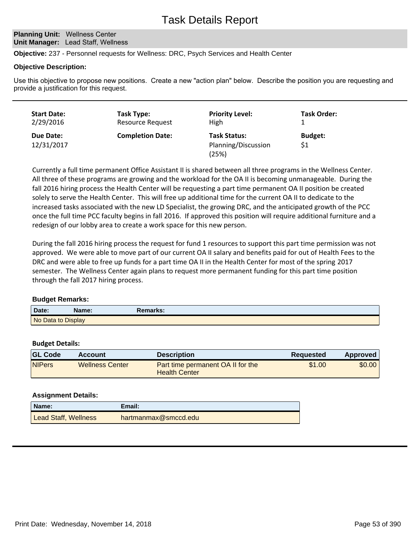**Planning Unit: Wellness Center Unit Manager: Lead Staff, Wellness** 

**Objective:** 237 - Personnel requests for Wellness: DRC, Psych Services and Health Center

#### **Objective Description:**

Use this objective to propose new positions. Create a new "action plan" below. Describe the position you are requesting and provide a justification for this request.

| <b>Start Date:</b>      | Task Type:              | <b>Priority Level:</b>                              | <b>Task Order:</b>    |
|-------------------------|-------------------------|-----------------------------------------------------|-----------------------|
| 2/29/2016               | <b>Resource Request</b> | <b>High</b>                                         |                       |
| Due Date:<br>12/31/2017 | <b>Completion Date:</b> | <b>Task Status:</b><br>Planning/Discussion<br>(25%) | <b>Budget:</b><br>\$1 |

Currently a full time permanent Office Assistant II is shared between all three programs in the Wellness Center. All three of these programs are growing and the workload for the OA II is becoming unmanageable. During the fall 2016 hiring process the Health Center will be requesting a part time permanent OA II position be created solely to serve the Health Center. This will free up additional time for the current OA II to dedicate to the increased tasks associated with the new LD Specialist, the growing DRC, and the anticipated growth of the PCC once the full time PCC faculty begins in fall 2016. If approved this position will require additional furniture and a redesign of our lobby area to create a work space for this new person.

During the fall 2016 hiring process the request for fund 1 resources to support this part time permission was not approved. We were able to move part of our current OA II salary and benefits paid for out of Health Fees to the DRC and were able to free up funds for a part time OA II in the Health Center for most of the spring 2017 semester. The Wellness Center again plans to request more permanent funding for this part time position through the fall 2017 hiring process.

## **Budget Remarks:**

| Date:              | Name: | Remarks: |
|--------------------|-------|----------|
| No Data to Display |       |          |

#### **Budget Details:**

| <b>GL Code</b> | <b>Account</b>         | <b>Description</b>                                               | <b>Requested</b> | Approved |
|----------------|------------------------|------------------------------------------------------------------|------------------|----------|
| <b>NIPers</b>  | <b>Wellness Center</b> | <b>Part time permanent OA II for the</b><br><b>Health Center</b> | \$1.00           | \$0.00   |

| Name:                | Email:               |
|----------------------|----------------------|
| Lead Staff, Wellness | hartmanmax@smccd.edu |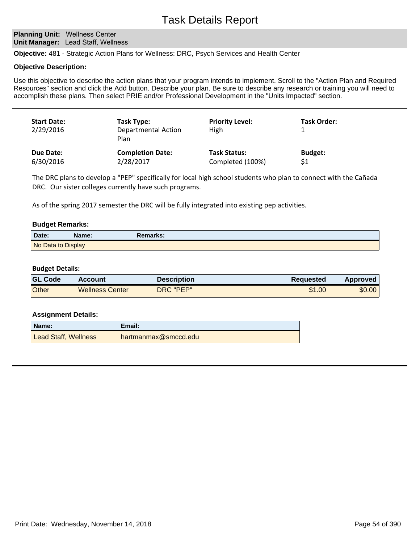**Planning Unit: Wellness Center Unit Manager: Lead Staff, Wellness** 

**Objective:** 481 - Strategic Action Plans for Wellness: DRC, Psych Services and Health Center

#### **Objective Description:**

Use this objective to describe the action plans that your program intends to implement. Scroll to the "Action Plan and Required Resources" section and click the Add button. Describe your plan. Be sure to describe any research or training you will need to accomplish these plans. Then select PRIE and/or Professional Development in the "Units Impacted" section.

| <b>Start Date:</b><br>2/29/2016 | Task Type:<br><b>Departmental Action</b><br>Plan | <b>Priority Level:</b><br>High | Task Order:    |
|---------------------------------|--------------------------------------------------|--------------------------------|----------------|
| Due Date:                       | <b>Completion Date:</b>                          | <b>Task Status:</b>            | <b>Budget:</b> |
| 6/30/2016                       | 2/28/2017                                        | Completed (100%)               | \$1            |

The DRC plans to develop a "PEP" specifically for local high school students who plan to connect with the Cañada DRC. Our sister colleges currently have such programs.

As of the spring 2017 semester the DRC will be fully integrated into existing pep activities.

#### **Budget Remarks:**

| Date:              | Name: | Remarks: |  |
|--------------------|-------|----------|--|
| No Data to Display |       |          |  |

#### **Budget Details:**

| <b>GL Code</b> | Account                | <b>Description</b> | Reguested | Approved |
|----------------|------------------------|--------------------|-----------|----------|
| Other          | <b>Wellness Center</b> | DRC "PEP"          | \$1.00    | \$0.00   |

| Name:                | Email:               |
|----------------------|----------------------|
| Lead Staff, Wellness | hartmanmax@smccd.edu |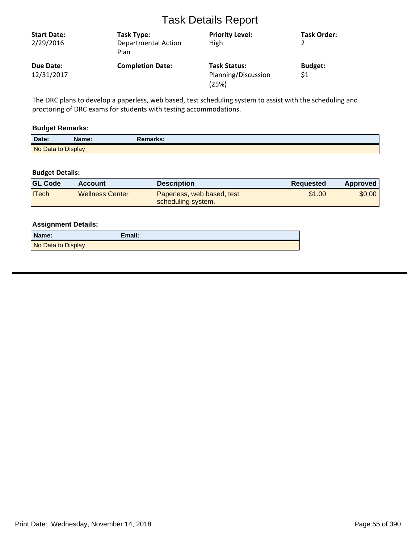| <b>Start Date:</b><br>2/29/2016 | Task Type:<br><b>Departmental Action</b><br>Plan | <b>Priority Level:</b><br>High                      | Task Order:           |
|---------------------------------|--------------------------------------------------|-----------------------------------------------------|-----------------------|
| Due Date:<br>12/31/2017         | <b>Completion Date:</b>                          | <b>Task Status:</b><br>Planning/Discussion<br>(25%) | <b>Budget:</b><br>\$1 |

The DRC plans to develop a paperless, web based, test scheduling system to assist with the scheduling and proctoring of DRC exams for students with testing accommodations.

## **Budget Remarks:**

| Date: | Name:              | Remarks: |  |
|-------|--------------------|----------|--|
|       | No Data to Display |          |  |

## **Budget Details:**

| <b>GL Code</b> | Account                | <b>Description</b>                               | Reguested | Approved |
|----------------|------------------------|--------------------------------------------------|-----------|----------|
| ITech          | <b>Wellness Center</b> | Paperless, web based, test<br>scheduling system. | \$1.00    | \$0.00   |

| Name:              | Email: |
|--------------------|--------|
| No Data to Display |        |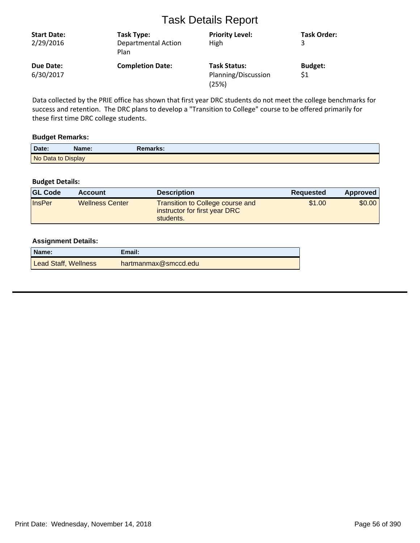| <b>Start Date:</b><br>2/29/2016 | Task Type:<br><b>Departmental Action</b><br>Plan | <b>Priority Level:</b><br>High                      | <b>Task Order:</b>    |
|---------------------------------|--------------------------------------------------|-----------------------------------------------------|-----------------------|
| Due Date:<br>6/30/2017          | <b>Completion Date:</b>                          | <b>Task Status:</b><br>Planning/Discussion<br>(25%) | <b>Budget:</b><br>\$1 |

Data collected by the PRIE office has shown that first year DRC students do not meet the college benchmarks for success and retention. The DRC plans to develop a "Transition to College" course to be offered primarily for these first time DRC college students.

#### **Budget Remarks:**

| Date:              | Name: | Remarks: |  |
|--------------------|-------|----------|--|
| No Data to Display |       |          |  |

## **Budget Details:**

| <b>GL Code</b> | <b>Account</b>         | <b>Description</b>                                                                    | Requested | Approved |
|----------------|------------------------|---------------------------------------------------------------------------------------|-----------|----------|
| <b>InsPer</b>  | <b>Wellness Center</b> | <b>Transition to College course and</b><br>instructor for first year DRC<br>students. | \$1.00    | \$0.00   |

| Name:                | Email:               |
|----------------------|----------------------|
| Lead Staff, Wellness | hartmanmax@smccd.edu |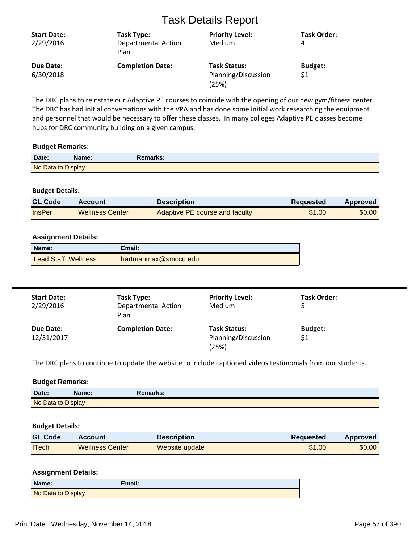| <b>Start Date:</b><br>2/29/2016 | Task Type:<br><b>Departmental Action</b><br>Plan | <b>Priority Level:</b><br>Medium                    | <b>Task Order:</b><br>4 |
|---------------------------------|--------------------------------------------------|-----------------------------------------------------|-------------------------|
| Due Date:<br>6/30/2018          | <b>Completion Date:</b>                          | <b>Task Status:</b><br>Planning/Discussion<br>(25%) | <b>Budget:</b><br>\$1   |

The DRC plans to reinstate our Adaptive PE courses to coincide with the opening of our new gym/fitness center. The DRC has had initial conversations with the VPA and has done some initial work researching the equipment and personnel that would be necessary to offer these classes. In many colleges Adaptive PE classes become hubs for DRC community building on a given campus.

#### **Budget Remarks:**

| Date:              | Name: | Remarks: |  |
|--------------------|-------|----------|--|
| No Data to Display |       |          |  |

#### **Budget Details:**

| <b>GL Code</b> | <b>Account</b>         | Description                    | <b>Requested</b> | Approved |
|----------------|------------------------|--------------------------------|------------------|----------|
| InsPer         | <b>Wellness Center</b> | Adaptive PE course and faculty | \$1.00           | \$0.00   |

#### **Assignment Details:**

| Name:                | Email:               |
|----------------------|----------------------|
| Lead Staff, Wellness | hartmanmax@smccd.edu |

| <b>Start Date:</b><br>2/29/2016 | Task Type:<br><b>Departmental Action</b><br>Plan | <b>Priority Level:</b><br>Medium                    | <b>Task Order:</b>    |
|---------------------------------|--------------------------------------------------|-----------------------------------------------------|-----------------------|
| Due Date:<br>12/31/2017         | <b>Completion Date:</b>                          | <b>Task Status:</b><br>Planning/Discussion<br>(25%) | <b>Budget:</b><br>\$1 |

The DRC plans to continue to update the website to include captioned videos testimonials from our students.

#### **Budget Remarks:**

| Date:              | Name: | Remarks: |  |
|--------------------|-------|----------|--|
| No Data to Display |       |          |  |

## **Budget Details:**

| <b>GL Code</b> | <b>Account</b>         | <b>Description</b> | Reguested | Approved |
|----------------|------------------------|--------------------|-----------|----------|
| <b>ITech</b>   | <b>Wellness Center</b> | Website update     | \$1.00    | \$0.00   |

| Name:              | Email: |
|--------------------|--------|
| No Data to Display |        |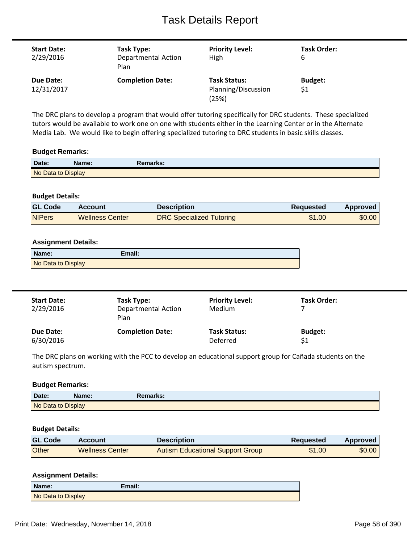| <b>Start Date:</b><br>2/29/2016 | Task Type:<br><b>Departmental Action</b><br>Plan | <b>Priority Level:</b><br>High                      | Task Order:<br>6      |
|---------------------------------|--------------------------------------------------|-----------------------------------------------------|-----------------------|
| Due Date:<br>12/31/2017         | <b>Completion Date:</b>                          | <b>Task Status:</b><br>Planning/Discussion<br>(25%) | <b>Budget:</b><br>\$1 |

The DRC plans to develop a program that would offer tutoring specifically for DRC students. These specialized tutors would be available to work one on one with students either in the Learning Center or in the Alternate Media Lab. We would like to begin offering specialized tutoring to DRC students in basic skills classes.

#### **Budget Remarks:**

| Date:              | Name: | <b>Remarks:</b> |  |
|--------------------|-------|-----------------|--|
| No Data to Display |       |                 |  |

## **Budget Details:**

| <b>IGL Code</b> | <b>Account</b>  | <b>Description</b>              | Requested | Approved |
|-----------------|-----------------|---------------------------------|-----------|----------|
| <b>NIPers</b>   | Wellness Center | <b>DRC Specialized Tutoring</b> | \$1.00    | \$0.00   |

## **Assignment Details:**

| Name:              | Email: |
|--------------------|--------|
| No Data to Display |        |

| <b>Start Date:</b><br>2/29/2016 | Task Type:<br><b>Departmental Action</b><br>Plan | <b>Priority Level:</b><br>Medium | Task Order:    |
|---------------------------------|--------------------------------------------------|----------------------------------|----------------|
| Due Date:                       | <b>Completion Date:</b>                          | <b>Task Status:</b>              | <b>Budget:</b> |
| 6/30/2016                       |                                                  | Deferred                         | \$1            |

The DRC plans on working with the PCC to develop an educational support group for Cañada students on the autism spectrum.

#### **Budget Remarks:**

| Date:              | Name: | Remarks: |  |
|--------------------|-------|----------|--|
| No Data to Display |       |          |  |

#### **Budget Details:**

| <b>GL Code</b> | <b>Account</b>         | <b>Description</b>               | <b>Requested</b> | Approved |
|----------------|------------------------|----------------------------------|------------------|----------|
| Other          | <b>Wellness Center</b> | Autism Educational Support Group | \$1.00           | \$0.00   |

| Name:              | Email: |
|--------------------|--------|
| No Data to Display |        |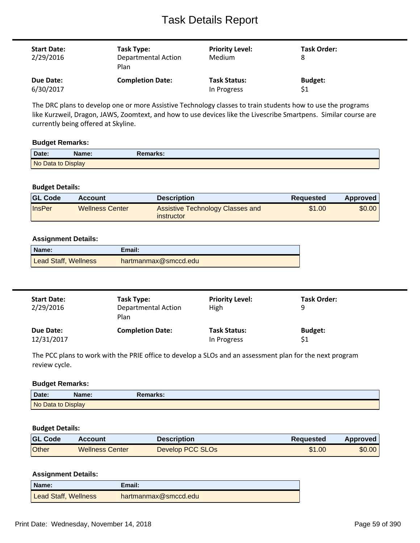| <b>Start Date:</b><br>2/29/2016 | Task Type:<br><b>Departmental Action</b><br>Plan | <b>Priority Level:</b><br><b>Medium</b> | Task Order:<br>8 |
|---------------------------------|--------------------------------------------------|-----------------------------------------|------------------|
| Due Date:                       | <b>Completion Date:</b>                          | <b>Task Status:</b>                     | <b>Budget:</b>   |
| 6/30/2017                       |                                                  | In Progress                             | \$1              |

The DRC plans to develop one or more Assistive Technology classes to train students how to use the programs like Kurzweil, Dragon, JAWS, Zoomtext, and how to use devices like the Livescribe Smartpens. Similar course are currently being offered at Skyline.

#### **Budget Remarks:**

| Date:              | \ame: | Remarks: |
|--------------------|-------|----------|
| No Data to Display |       |          |

#### **Budget Details:**

| <b>GL Code</b> | Account                | <b>Description</b>                                    | Reguested | Approved |
|----------------|------------------------|-------------------------------------------------------|-----------|----------|
| <b>InsPer</b>  | <b>Wellness Center</b> | <b>Assistive Technology Classes and</b><br>instructor | \$1.00    | \$0.00   |

#### **Assignment Details:**

| Name:                       | Email:               |
|-----------------------------|----------------------|
| <b>Lead Staff, Wellness</b> | hartmanmax@smccd.edu |

| <b>Start Date:</b><br>2/29/2016 | Task Type:<br><b>Departmental Action</b><br>Plan | <b>Priority Level:</b><br>High | Task Order:<br>q |
|---------------------------------|--------------------------------------------------|--------------------------------|------------------|
| Due Date:                       | <b>Completion Date:</b>                          | <b>Task Status:</b>            | <b>Budget:</b>   |
| 12/31/2017                      |                                                  | In Progress                    | \$1              |

The PCC plans to work with the PRIE office to develop a SLOs and an assessment plan for the next program review cycle.

#### **Budget Remarks:**

| Date:              | Name: | Remarks: |  |
|--------------------|-------|----------|--|
| No Data to Display |       |          |  |

#### **Budget Details:**

| <b>GL Code</b> | Account                | <b>Description</b> | Requested | Approved |
|----------------|------------------------|--------------------|-----------|----------|
| Other          | <b>Wellness Center</b> | Develop PCC SLOs   | \$1.00    | \$0.00   |

| Name:                       | Email:               |
|-----------------------------|----------------------|
| <b>Lead Staff, Wellness</b> | hartmanmax@smccd.edu |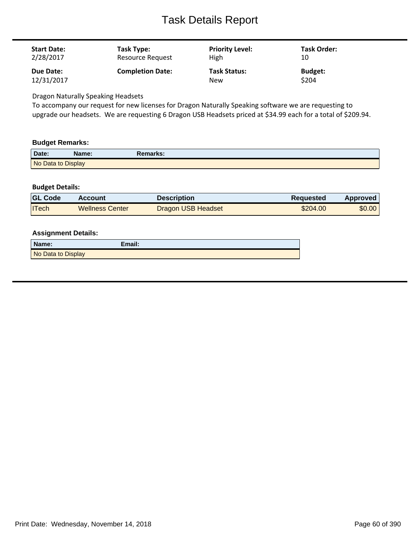| <b>Start Date:</b> | Task Type:              | <b>Priority Level:</b> | Task Order:    |
|--------------------|-------------------------|------------------------|----------------|
| 2/28/2017          | Resource Request        | High                   | 10             |
| Due Date:          | <b>Completion Date:</b> | <b>Task Status:</b>    | <b>Budget:</b> |
| 12/31/2017         |                         | <b>New</b>             | \$204          |

Dragon Naturally Speaking Headsets

To accompany our request for new licenses for Dragon Naturally Speaking software we are requesting to upgrade our headsets. We are requesting 6 Dragon USB Headsets priced at \$34.99 each for a total of \$209.94.

#### **Budget Remarks:**

| Date:              | Name: | Remarks: |
|--------------------|-------|----------|
| No Data to Display |       |          |

## **Budget Details:**

| <b>GL Code</b> | <b>Account</b>         | Description               | <b>Requested</b> | <b>Approved</b> |
|----------------|------------------------|---------------------------|------------------|-----------------|
| <b>ITech</b>   | <b>Wellness Center</b> | <b>Dragon USB Headset</b> | \$204.00         | \$0.00          |

| Name:              | Email: |
|--------------------|--------|
| No Data to Display |        |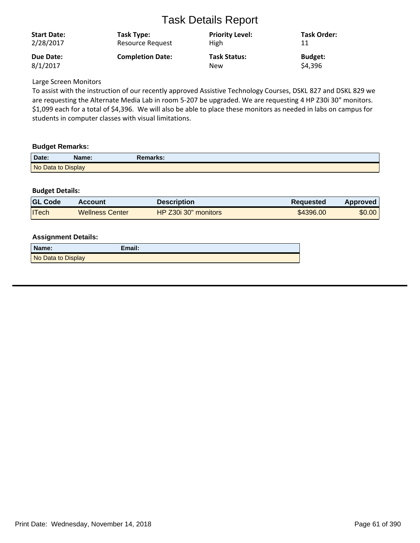| <b>Start Date:</b> | Task Type:              | <b>Priority Level:</b> | Task Order:    |
|--------------------|-------------------------|------------------------|----------------|
| 2/28/2017          | <b>Resource Request</b> | <b>High</b>            | 11             |
| Due Date:          | <b>Completion Date:</b> | <b>Task Status:</b>    | <b>Budget:</b> |
| 8/1/2017           |                         | <b>New</b>             | \$4,396        |

Large Screen Monitors

To assist with the instruction of our recently approved Assistive Technology Courses, DSKL 827 and DSKL 829 we are requesting the Alternate Media Lab in room 5-207 be upgraded. We are requesting 4 HP Z30i 30" monitors. \$1,099 each for a total of \$4,396. We will also be able to place these monitors as needed in labs on campus for students in computer classes with visual limitations.

## **Budget Remarks:**

| Date:              | Name: | <b>Remarks:</b> |  |
|--------------------|-------|-----------------|--|
| No Data to Display |       |                 |  |

## **Budget Details:**

| <b>GL Code</b> | <b>Account</b>         | <b>Description</b>   | <b>Requested</b> | Approved |
|----------------|------------------------|----------------------|------------------|----------|
| <b>ITech</b>   | <b>Wellness Center</b> | HP Z30i 30" monitors | \$4396.00        | \$0.00   |

| Name:              | Email: |
|--------------------|--------|
| No Data to Display |        |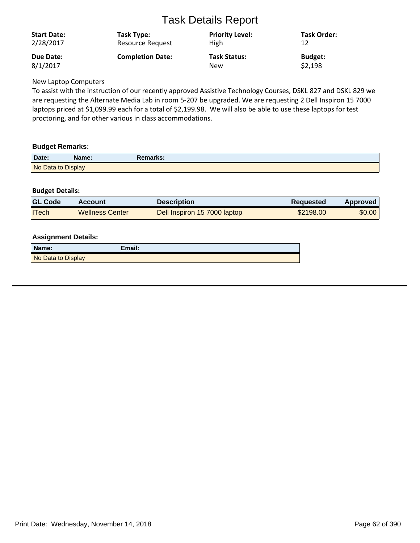| <b>Start Date:</b> | Task Type:              | <b>Priority Level:</b> | Task Order:    |
|--------------------|-------------------------|------------------------|----------------|
| 2/28/2017          | <b>Resource Request</b> | High                   | 12             |
| <b>Due Date:</b>   | <b>Completion Date:</b> | <b>Task Status:</b>    | <b>Budget:</b> |
| 8/1/2017           |                         | New                    | \$2,198        |

New Laptop Computers

To assist with the instruction of our recently approved Assistive Technology Courses, DSKL 827 and DSKL 829 we are requesting the Alternate Media Lab in room 5-207 be upgraded. We are requesting 2 Dell Inspiron 15 7000 laptops priced at \$1,099.99 each for a total of \$2,199.98. We will also be able to use these laptops for test proctoring, and for other various in class accommodations.

## **Budget Remarks:**

| Date:              | Name: | Remarks: |  |
|--------------------|-------|----------|--|
| No Data to Display |       |          |  |

## **Budget Details:**

| <b>GL Code</b> | <b>Account</b>         | <b>Description</b>           | <b>Requested</b> | Approved |
|----------------|------------------------|------------------------------|------------------|----------|
| <b>ITech</b>   | <b>Wellness Center</b> | Dell Inspiron 15 7000 laptop | \$2198.00        | \$0.00   |

| Name:              | Email: |
|--------------------|--------|
| No Data to Display |        |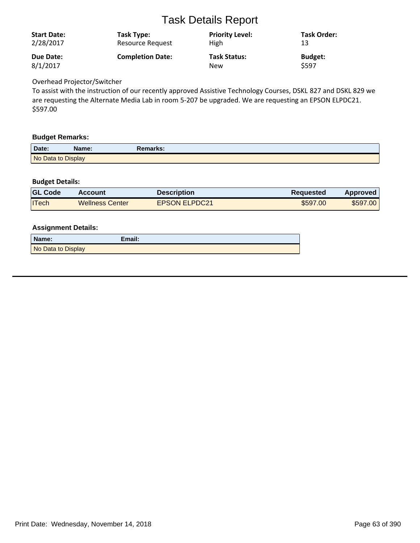| <b>Start Date:</b> | Task Type:              | <b>Priority Level:</b> | <b>Task Order:</b> |
|--------------------|-------------------------|------------------------|--------------------|
| 2/28/2017          | Resource Request        | <b>High</b>            | 13                 |
| Due Date:          | <b>Completion Date:</b> | <b>Task Status:</b>    | <b>Budget:</b>     |
| 8/1/2017           |                         | <b>New</b>             | \$597              |

## Overhead Projector/Switcher

To assist with the instruction of our recently approved Assistive Technology Courses, DSKL 827 and DSKL 829 we are requesting the Alternate Media Lab in room 5-207 be upgraded. We are requesting an EPSON ELPDC21. \$597.00

#### **Budget Remarks:**

| Date:              | <b>Name:</b> | <b>Remarks:</b> |  |
|--------------------|--------------|-----------------|--|
| No Data to Display |              |                 |  |

## **Budget Details:**

| <b>GL Code</b> | Account                | <b>Description</b>   | <b>Requested</b> | <b>Approved</b> |
|----------------|------------------------|----------------------|------------------|-----------------|
| <b>ITech</b>   | <b>Wellness Center</b> | <b>EPSON ELPDC21</b> | \$597.00         | \$597.00        |

| Name:              | Email: |
|--------------------|--------|
| No Data to Display |        |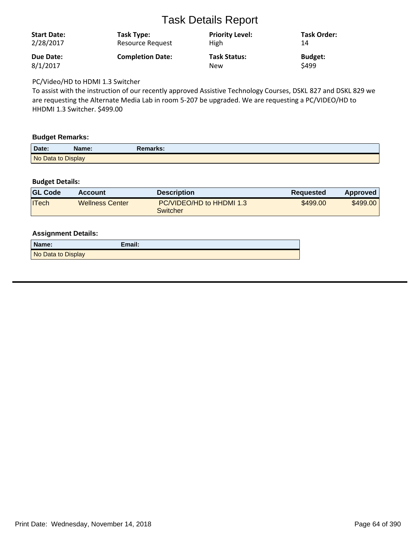| <b>Start Date:</b><br>2/28/2017 | Task Type:<br>Resource Request | <b>Priority Level:</b><br>High | <b>Task Order:</b><br>14 |
|---------------------------------|--------------------------------|--------------------------------|--------------------------|
| <b>Due Date:</b>                | <b>Completion Date:</b>        | <b>Task Status:</b>            | <b>Budget:</b>           |
| 8/1/2017                        |                                | <b>New</b>                     | \$499                    |

PC/Video/HD to HDMI 1.3 Switcher

To assist with the instruction of our recently approved Assistive Technology Courses, DSKL 827 and DSKL 829 we are requesting the Alternate Media Lab in room 5-207 be upgraded. We are requesting a PC/VIDEO/HD to HHDMI 1.3 Switcher. \$499.00

#### **Budget Remarks:**

| Date:              | Name: | Remarks: |  |
|--------------------|-------|----------|--|
| No Data to Display |       |          |  |

## **Budget Details:**

| <b>GL Code</b> | <b>Account</b>         | Description                          | <b>Requested</b> | <b>Approved</b> |
|----------------|------------------------|--------------------------------------|------------------|-----------------|
| <b>ITech</b>   | <b>Wellness Center</b> | PC/VIDEO/HD to HHDMI 1.3<br>Switcher | \$499.00         | \$499.00        |

| Name:              | Email: |
|--------------------|--------|
| No Data to Display |        |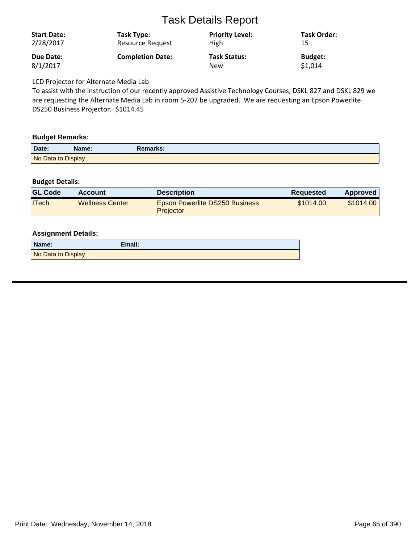| <b>Start Date:</b><br>2/28/2017 | Task Type:<br><b>Resource Request</b> | <b>Priority Level:</b><br><b>High</b> | Task Order:<br>15 |
|---------------------------------|---------------------------------------|---------------------------------------|-------------------|
| Due Date:<br>8/1/2017           | <b>Completion Date:</b>               | <b>Task Status:</b>                   | <b>Budget:</b>    |
|                                 |                                       | <b>New</b>                            | \$1,014           |

LCD Projector for Alternate Media Lab

To assist with the instruction of our recently approved Assistive Technology Courses, DSKL 827 and DSKL 829 we are requesting the Alternate Media Lab in room 5-207 be upgraded. We are requesting an Epson Powerlite DS250 Business Projector. \$1014.45

#### **Budget Remarks:**

| Date:              | Name: | Remarks: |  |
|--------------------|-------|----------|--|
| No Data to Display |       |          |  |

## **Budget Details:**

| <b>GL Code</b> | <b>Account</b>         | <b>Description</b>                                        | Requested | Approved  |
|----------------|------------------------|-----------------------------------------------------------|-----------|-----------|
| ITech          | <b>Wellness Center</b> | <b>Epson Powerlite DS250 Business</b><br><b>Projector</b> | \$1014.00 | \$1014.00 |

| Name:              | Email: |
|--------------------|--------|
| No Data to Display |        |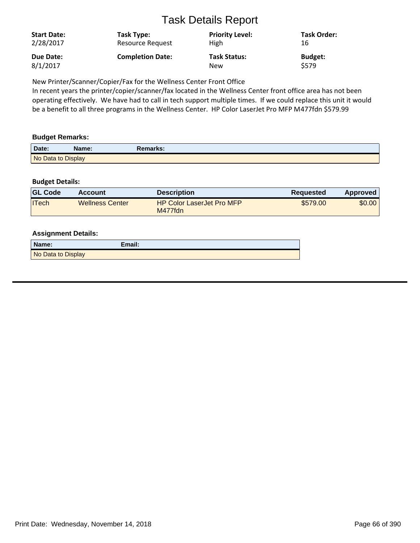| <b>Start Date:</b> | Task Type:              | <b>Priority Level:</b> | <b>Task Order:</b> |
|--------------------|-------------------------|------------------------|--------------------|
| 2/28/2017          | Resource Request        | <b>High</b>            | 16                 |
| Due Date:          | <b>Completion Date:</b> | <b>Task Status:</b>    | <b>Budget:</b>     |
| 8/1/2017           |                         | <b>New</b>             | S579               |

New Printer/Scanner/Copier/Fax for the Wellness Center Front Office

In recent years the printer/copier/scanner/fax located in the Wellness Center front office area has not been operating effectively. We have had to call in tech support multiple times. If we could replace this unit it would be a benefit to all three programs in the Wellness Center. HP Color LaserJet Pro MFP M477fdn \$579.99

## **Budget Remarks:**

| Date:              | Name: | Remarks: |  |
|--------------------|-------|----------|--|
| No Data to Display |       |          |  |

## **Budget Details:**

| <b>GL Code</b> | <b>Account</b>         | Description                                 | Requested | Approved |
|----------------|------------------------|---------------------------------------------|-----------|----------|
| <b>ITech</b>   | <b>Wellness Center</b> | <b>HP Color LaserJet Pro MFP</b><br>M477fdn | \$579.00  | \$0.00   |

| Name:              | Email: |
|--------------------|--------|
| No Data to Display |        |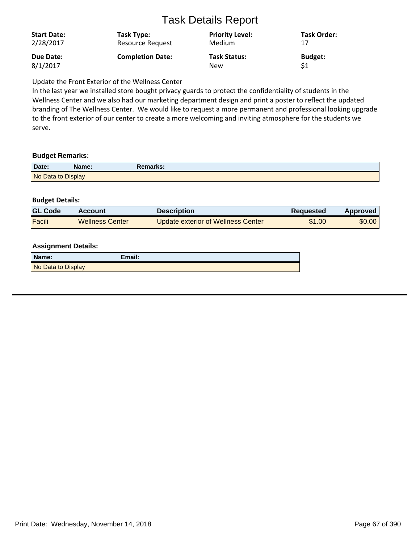| <b>Start Date:</b> | Task Type:              | <b>Priority Level:</b> | Task Order:    |
|--------------------|-------------------------|------------------------|----------------|
| 2/28/2017          | <b>Resource Request</b> | <b>Medium</b>          | 17             |
| Due Date:          | <b>Completion Date:</b> | <b>Task Status:</b>    | <b>Budget:</b> |
| 8/1/2017           |                         | New                    | \$1            |

Update the Front Exterior of the Wellness Center

In the last year we installed store bought privacy guards to protect the confidentiality of students in the Wellness Center and we also had our marketing department design and print a poster to reflect the updated branding of The Wellness Center. We would like to request a more permanent and professional looking upgrade to the front exterior of our center to create a more welcoming and inviting atmosphere for the students we serve.

#### **Budget Remarks:**

| Date:              | Name: | Remarks: |
|--------------------|-------|----------|
| No Data to Display |       |          |

## **Budget Details:**

| <b>GL Code</b> | Account                | Description                        | <b>Requested</b> | Approved |
|----------------|------------------------|------------------------------------|------------------|----------|
| Facili         | <b>Wellness Center</b> | Update exterior of Wellness Center | \$1.00           | \$0.00   |

| Name:              | Email: |
|--------------------|--------|
| No Data to Display |        |